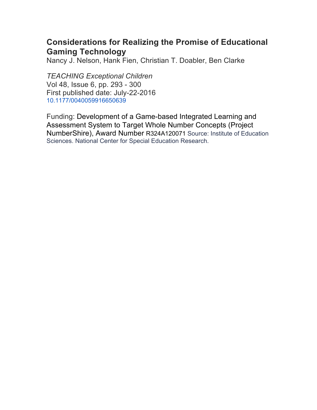# **Considerations for Realizing the Promise of Educational Gaming Technology**

Nancy J. Nelson, Hank Fien, Christian T. Doabler, Ben Clarke

*TEACHING Exceptional Children* Vol 48, Issue 6, pp. 293 - 300 First published date: July-22-2016 10.1177/0040059916650639

Funding: Development of a Game-based Integrated Learning and Assessment System to Target Whole Number Concepts (Project NumberShire), Award Number R324A120071 Source: Institute of Education Sciences. National Center for Special Education Research.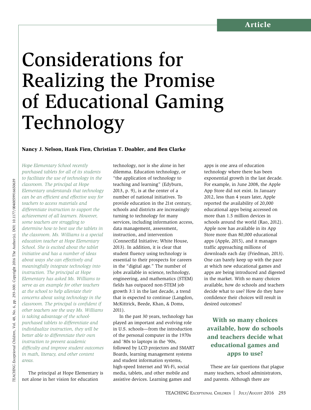# Considerations for Realizing the Promise of Educational Gaming Technology

## Nancy J. Nelson, Hank Fien, Christian T. Doabler, and Ben Clarke

*Hope Elementary School recently purchased tablets for all of its students to facilitate the use of technology in the classroom. The principal at Hope Elementary understands that technology can be an efficient and effective way for teachers to access materials and differentiate instruction to support the achievement of all learners. However, some teachers are struggling to determine how to best use the tablets in the classroom. Ms. Williams is a special education teacher at Hope Elementary School. She is excited about the tablet initiative and has a number of ideas about ways she can effectively and meaningfully integrate technology into instruction. The principal at Hope Elementary has asked Ms. Williams to serve as an example for other teachers at the school to help alleviate their concerns about using technology in the classroom. The principal is confident if other teachers see the way Ms. Williams is taking advantage of the schoolpurchased tablets to differentiate and individualize instruction, they will be better able to differentiate their own instruction to prevent academic difficulty and improve student outcomes in math, literacy, and other content areas.*

The principal at Hope Elementary is not alone in her vision for education

technology, nor is she alone in her dilemma. Education technology, or "the application of technology to teaching and learning" (Edyburn, 2013, p. 9), is at the center of a number of national initiatives. To provide education in the 21st century, schools and districts are increasingly turning to technology for many services, including information access, data management, assessment, instruction, and intervention (ConnectEd Initiative; White House, 2013). In addition, it is clear that student fluency using technology is essential to their prospects for careers in the "digital age." The number of jobs available in science, technology, engineering, and mathematics (STEM) fields has outpaced non-STEM job growth 3:1 in the last decade, a trend that is expected to continue (Langdon, McKittrick, Beede, Khan, & Doms, 2011).

In the past 30 years, technology has played an important and evolving role in U.S. schools—from the introduction of the personal computer in the 1970s and '80s to laptops in the '90s, followed by LCD projectors and SMART Boards, learning management systems and student information systems, high-speed Internet and Wi-Fi, social media, tablets, and other mobile and assistive devices. Learning games and

apps is one area of education technology where there has been exponential growth in the last decade. For example, in June 2008, the Apple App Store did not exist. In January 2012, less than 4 years later, Apple reported the availability of 20,000 educational apps being accessed on more than 1.5 million devices in schools around the world (Rao, 2012). Apple now has available in its App Store more than 80,000 educational apps (Apple, 2015), and it manages traffic approaching millions of downloads each day (Friedman, 2013). One can barely keep up with the pace at which new educational games and apps are being introduced and digested in the market. With so many choices available, how do schools and teachers decide what to use? How do they have confidence their choices will result in desired outcomes?

# With so many choices available, how do schools and teachers decide what educational games and apps to use?

These are fair questions that plague many teachers, school administrators, and parents. Although there are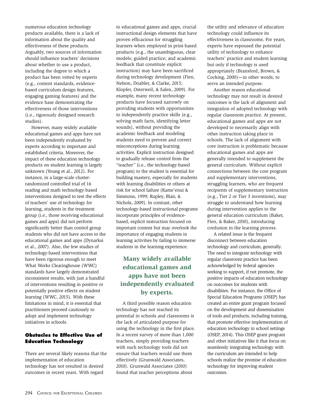numerous education technology products available, there is a lack of information about the quality and effectiveness of these products. Arguably, two sources of information should influence teachers' decisions about whether to use a product, including the degree to which a product has been vetted by experts (e.g., content standards, evidencebased curriculum design features, engaging gaming features) and the evidence base demonstrating the effectiveness of those interventions (i.e., rigorously designed research studies).

However, many widely available educational games and apps have not been independently evaluated by experts according to important and established criteria. Moreover, the impact of these education technology products on student learning is largely unknown (Young et al., 2012). For instance, in a large-scale clusterrandomized controlled trial of 16 reading and math technology-based interventions designed to test the effects of teachers' use of technology for learning, students in the treatment group (i.e., those receiving educational games and apps) did not perform significantly better than control group students who did not have access to the educational games and apps (Dynarksi et al., 2007). Also, the few studies of technology-based interventions that have been rigorous enough to meet What Works Clearinghouse (WWC) standards have largely demonstrated inconsistent results, with just a handful of interventions resulting in positive or potentially positive effects on student learning (WWC, 2015). With these limitations in mind, it is essential that practitioners proceed cautiously to adopt and implement technology initiatives in schools.

## **Obstacles to Effective Use of Education Technology**

There are several likely reasons that the implementation of education technology has not resulted in desired outcomes in recent years. With regard

to educational games and apps, crucial instructional design elements that have proven efficacious for struggling learners when employed in print-based products (e.g., the unambiguous, clear models; guided practice; and academic feedback that constitute explicit instruction) may have been sacrificed during technology development (Fien, Nelson, Doabler, & Clarke, 2015; Klopfer, Osterweil, & Salen, 2009). For example, many recent technology products have focused narrowly on providing students with opportunities to independently practice skills (e.g., solving math facts, identifying letter sounds), without providing the academic feedback and modeling students need to prevent and correct misconceptions during learning activities. Explicit instruction designed to gradually release control from the "teacher" (i.e., the technology-based program) to the student is essential for building mastery, especially for students with learning disabilities or others at risk for school failure (Kame'enui & Simmons, 1999; Rupley, Blair, & Nichols, 2009). In contrast, other technology-based instructional programs incorporate principles of evidencebased, explicit instruction focused on important content but may overlook the importance of engaging students in learning activities by failing to immerse students in the learning experience.

# Many widely available educational games and apps have not been independently evaluated by experts.

A third possible reason education technology has not reached its potential in schools and classrooms is the lack of articulated purpose for using the technology in the first place. In a recent survey of more than 1,000 teachers, simply providing teachers with such technology tools did not ensure that teachers would use them effectively (Grunwald Associates, 2010). Grunwald Associates (2010) found that teacher perceptions about

the utility and relevance of education technology could influence its effectiveness in classrooms. For years, experts have espoused the potential utility of technology to enhance teachers' practice and student learning but only if technology is used appropriately (Bransford, Brown, & Cocking, 2000)—in other words, to serve an intended purpose.

Another reason educational technology may not result in desired outcomes is the lack of alignment and integration of adopted technology with regular classroom practice. At present, educational games and apps are not developed to necessarily align with other instruction taking place in schools. The lack of alignment with core instruction is problematic because educational games and apps are generally intended to supplement the general curriculum. Without explicit connections between the core program and supplementary interventions, struggling learners, who are frequent recipients of supplementary instruction (e.g., Tier 2 or Tier 3 inventions), may struggle to understand how learning during intervention applies to the general education curriculum (Baker, Fien, & Baker, 2010), introducing confusion in the learning process.

A related issue is the frequent disconnect between education technology and curriculum, generally. The need to integrate technology with regular classroom practice has been acknowledged by federal agencies seeking to support, if not promote, the positive impacts of education technology on outcomes for students with disabilities. For instance, the Office of Special Education Programs (OSEP) has created an entire grant program focused on the development and dissemination of tools and products, including training, that promote effective implementation of education technology in school settings (OSEP, 2014). This OSEP grant program and other initiatives like it that focus on seamlessly integrating technology with the curriculum are intended to help schools realize the promise of education technology for improving student outcomes.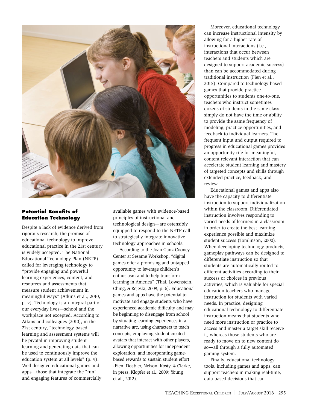

## **Potential Benefits of Education Technology**

Despite a lack of evidence derived from rigorous research, the promise of educational technology to improve educational practice in the 21st century is widely accepted. The National Educational Technology Plan (NETP) called for leveraging technology to "provide engaging and powerful learning experiences, content, and resources and assessments that measure student achievement in meaningful ways" (Atkins et al., 2010, p. v). Technology is an integral part of our everyday lives—school and the workplace not excepted. According to Atkins and colleagues (2010), in the 21st century, "technology-based learning and assessment systems will be pivotal in improving student learning and generating data that can be used to continuously improve the education system at all levels" (p. v). Well-designed educational games and apps—those that integrate the "fun" and engaging features of commercially

available games with evidence-based principles of instructional and technological design—are ostensibly equipped to respond to the NETP call to strategically integrate innovative technology approaches in schools.

According to the Joan Ganz Cooney Center at Sesame Workshop, "digital games offer a promising and untapped opportunity to leverage children's enthusiasm and to help transform learning in America" (Thai, Lowenstein, Ching, & Rejeski, 2009, p. 6). Educational games and apps have the potential to motivate and engage students who have experienced academic difficulty and may be beginning to disengage from school by situating learning experiences in a narrative arc, using characters to teach concepts, employing student-created avatars that interact with other players, allowing opportunities for independent exploration, and incorporating gamebased rewards to sustain student effort (Fien, Doabler, Nelson, Kosty, & Clarke, in press; Klopfer et al., 2009; Young et al., 2012).

Moreover, educational technology can increase instructional intensity by allowing for a higher rate of instructional interactions (i.e., interactions that occur between teachers and students which are designed to support academic success) than can be accommodated during traditional instruction (Fien et al., 2015). Compared to technology-based games that provide practice opportunities to students one-to-one, teachers who instruct sometimes dozens of students in the same class simply do not have the time or ability to provide the same frequency of modeling, practice opportunities, and feedback to individual learners. The frequent input and output required to progress in educational games provides an opportunity rife for meaningful, content-relevant interaction that can accelerate student learning and mastery of targeted concepts and skills through extended practice, feedback, and review.

Educational games and apps also have the capacity to differentiate instruction to support individualization within the classroom. Differentiated instruction involves responding to varied needs of learners in a classroom in order to create the best learning experience possible and maximize student success (Tomlinson, 2000). When developing technology products, gameplay pathways can be designed to differentiate instruction so that students are automatically routed to different activities according to their success or choices in previous activities, which is valuable for special education teachers who manage instruction for students with varied needs. In practice, designing educational technology to differentiate instruction means that students who need more instruction or practice to access and master a target skill receive it, whereas those students who are ready to move on to new content do so—all through a fully automated gaming system.

Finally, educational technology tools, including games and apps, can support teachers in making real-time, data-based decisions that can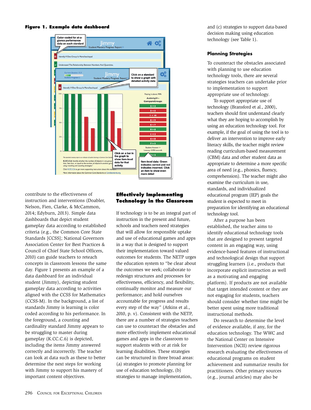#### **Figure 1. Example data dashboard**



contribute to the effectiveness of instruction and interventions (Doabler, Nelson, Fien, Clarke, & McCammon, 2014; Edyburn, 2013). Simple data dashboards that depict student gameplay data according to established criteria (e.g., the Common Core State Standards [CCSS]; National Governors Association Center for Best Practices & Council of Chief State School Officers, 2010) can guide teachers to reteach concepts in classroom lessons the same day. Figure 1 presents an example of a data dashboard for an individual student (Jimmy), depicting student gameplay data according to activities aligned with the CCSS for Mathematics (CCSS-M). In the background, a list of standards Jimmy is learning is color coded according to his performance. In the foreground, a counting and cardinality standard Jimmy appears to be struggling to master during gameplay (K.CC.C.6) is depicted, including the items Jimmy answered correctly and incorrectly. The teacher can look at data such as these to better determine the next steps for working with Jimmy to support his mastery of important content objectives.

## **Effectively Implementing Technology in the Classroom**

If technology is to be an integral part of instruction in the present and future, schools and teachers need strategies that will allow for responsible uptake and use of educational games and apps in a way that is designed to support their implementation toward valued outcomes for students. The NETP urges the education system to "be clear about the outcomes we seek; collaborate to redesign structures and processes for effectiveness, efficiency, and flexibility, continually monitor and measure our performance; and hold ourselves accountable for progress and results every step of the way" (Atkins et al., 2010, p. v). Consistent with the NETP, there are a number of strategies teachers can use to counteract the obstacles and more effectively implement educational games and apps in the classroom to support students with or at risk for learning disabilities. These strategies can be structured in three broad areas: (a) strategies to promote planning for use of education technology, (b) strategies to manage implementation,

and (c) strategies to support data-based decision making using education technology (see Table 1).

#### **Planning Strategies**

To counteract the obstacles associated with planning to use education technology tools, there are several strategies teachers can undertake prior to implementation to support appropriate use of technology.

To support appropriate use of technology (Bransford et al., 2000), teachers should first understand clearly what they are hoping to accomplish by using an education technology tool. For example, if the goal of using the tool is to deliver an intervention to improve early literacy skills, the teacher might review reading curriculum-based measurement (CBM) data and other student data as appropriate to determine a more specific area of need (e.g., phonics, fluency, comprehension). The teacher might also examine the curriculum in use, standards, and individualized educational program (IEP) goals the student is expected to meet in preparation for identifying an educational technology tool.

After a purpose has been established, the teacher aims to identify educational technology tools that are designed to present targeted content in an engaging way, using evidence-based features of instructional and technological design that support struggling learners (i.e., products that incorporate explicit instruction as well as a motivating and engaging platform). If products are not available that target intended content or they are not engaging for students, teachers should consider whether time might be better spent using more traditional instructional methods.

Do research to determine the level of evidence available, if any, for the education technology. The WWC and the National Center on Intensive Intervention (NCII) review rigorous research evaluating the effectiveness of educational programs on student achievement and summarize results for practitioners. Other primary sources (e.g., journal articles) may also be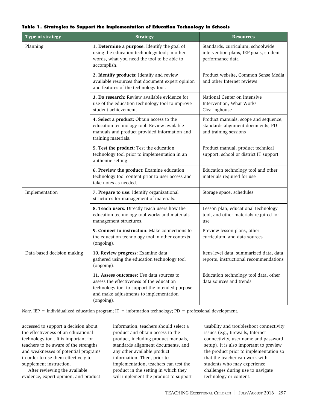#### **Table 1. Strategies to Support the Implementation of Education Technology in Schools**

| <b>Type of strategy</b>    | <b>Strategy</b>                                                                                                                                                                                  | <b>Resources</b>                                                                                   |
|----------------------------|--------------------------------------------------------------------------------------------------------------------------------------------------------------------------------------------------|----------------------------------------------------------------------------------------------------|
| Planning                   | 1. Determine a purpose: Identify the goal of<br>using the education technology tool; in other<br>words, what you need the tool to be able to<br>accomplish.                                      | Standards, curriculum, schoolwide<br>intervention plans, IEP goals, student<br>performance data    |
|                            | 2. Identify products: Identify and review<br>available resources that document expert opinion<br>and features of the technology tool.                                                            | Product website, Common Sense Media<br>and other Internet reviews                                  |
|                            | 3. Do research: Review available evidence for<br>use of the education technology tool to improve<br>student achievement.                                                                         | National Center on Intensive<br>Intervention, What Works<br>Clearinghouse                          |
|                            | 4. Select a product: Obtain access to the<br>education technology tool. Review available<br>manuals and product-provided information and<br>training materials.                                  | Product manuals, scope and sequence,<br>standards alignment documents, PD<br>and training sessions |
|                            | 5. Test the product: Test the education<br>technology tool prior to implementation in an<br>authentic setting.                                                                                   | Product manual, product technical<br>support, school or district IT support                        |
|                            | 6. Preview the product: Examine education<br>technology tool content prior to user access and<br>take notes as needed.                                                                           | Education technology tool and other<br>materials required for use                                  |
| Implementation             | 7. Prepare to use: Identify organizational<br>structures for management of materials.                                                                                                            | Storage space, schedules                                                                           |
|                            | 8. Teach users: Directly teach users how the<br>education technology tool works and materials<br>management structures.                                                                          | Lesson plan, educational technology<br>tool, and other materials required for<br>use               |
|                            | 9. Connect to instruction: Make connections to<br>the education technology tool in other contexts<br>(ongoing).                                                                                  | Preview lesson plans, other<br>curriculum, and data sources                                        |
| Data-based decision making | 10. Review progress: Examine data<br>gathered using the education technology tool<br>$(ongoing)$ .                                                                                               | Item-level data, summarized data, data<br>reports, instructional recommendations                   |
|                            | 11. Assess outcomes: Use data sources to<br>assess the effectiveness of the education<br>technology tool to support the intended purpose<br>and make adjustments to implementation<br>(ongoing). | Education technology tool data, other<br>data sources and trends                                   |

*Note*. IEP = individualized education program; IT = information technology; PD = professional development.

accessed to support a decision about the effectiveness of an educational technology tool. It is important for teachers to be aware of the strengths and weaknesses of potential programs in order to use them effectively to supplement instruction.

After reviewing the available evidence, expert opinion, and product information, teachers should select a product and obtain access to the product, including product manuals, standards alignment documents, and any other available product information. Then, prior to implementation, teachers can test the product in the setting in which they will implement the product to support usability and troubleshoot connectivity issues (e.g., firewalls, Internet connectivity, user name and password setup). It is also important to preview the product prior to implementation so that the teacher can work with students who may experience challenges during use to navigate technology or content.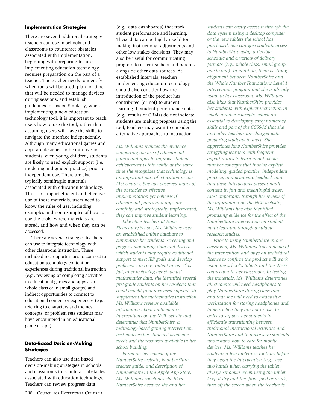#### **Implementation Strategies**

There are several additional strategies teachers can use in schools and classrooms to counteract obstacles associated with implementation, beginning with preparing for use. Implementing education technology requires preparation on the part of a teacher. The teacher needs to identify when tools will be used, plan for time that will be needed to manage devices during sessions, and establish guidelines for users. Similarly, when implementing a new education technology tool, it is important to teach users how to use the tool, rather than assuming users will have the skills to navigate the interface independently. Although many educational games and apps are designed to be intuitive for students, even young children, students are likely to need explicit support (i.e., modeling and guided practice) prior to independent use. There are also typically semifragile materials associated with education technology. Thus, to support efficient and effective use of these materials, users need to know the rules of use, including examples and non-examples of how to use the tools, where materials are stored, and how and when they can be accessed.

There are several strategies teachers can use to integrate technology with other classroom instruction. These include direct opportunities to connect to education technology content or experiences during traditional instruction (e.g., reviewing or completing activities in educational games and apps as a whole class or in small groups) and indirect opportunities to connect to educational content or experiences (e.g., referring to characters and themes, concepts, or problem sets students may have encountered in an educational game or app).

#### **Data-Based Decision-Making Strategies**

Teachers can also use data-based decision-making strategies in schools and classrooms to counteract obstacles associated with education technology. Teachers can review progress data

(e.g., data dashboards) that track student performance and learning. These data can be highly useful for making instructional adjustments and other low-stakes decisions. They may also be useful for communicating progress to other teachers and parents alongside other data sources. At established intervals, teachers implementing education technology should also consider how the introduction of the product has contributed (or not) to student learning. If student performance data (e.g., results of CBMs) do not indicate students are making progress using the tool, teachers may want to consider alternative approaches to instruction.

*Ms. Williams realizes the evidence supporting the use of educational games and apps to improve student achievement is thin while at the same time she recognizes that technology is an important part of education in the 21st century. She has observed many of the obstacles to effective implementation yet believes if educational games and apps are carefully and strategically implemented, they can improve student learning.*

*Like other teachers at Hope Elementary School, Ms. Williams uses an established online database to summarize her students' screening and progress monitoring data and discern which students may require additional support to meet IEP goals and develop proficiency in core content areas. This fall, after reviewing her students' mathematics data, she identified several first-grade students on her caseload that could benefit from increased support. To supplement her mathematics instruction, Ms. Williams reviews available information about mathematics interventions on the NCII website and determines that NumberShire, a technology-based gaming intervention, best matches her students' academic needs and the resources available in her school building.*

*Based on her review of the NumberShire website, NumberShire teacher guide, and description of NumberShire in the Apple App Store, Ms. Williams concludes she likes NumberShire because she and her* 

*students can easily access it through the data system using a desktop computer or the new tablets the school has purchased. She can give students access to NumberShire using a flexible schedule and a variety of delivery formats (e.g., whole class, small group, one-to-one). In addition, there is strong alignment between NumberShire and the Whole Number Foundations Level 1 intervention program that she is already using in her classroom. Ms. Williams also likes that NumberShire provides her students with explicit instruction in whole-number concepts, which are essential to developing early numeracy skills and part of the CCSS-M that she and other teachers are charged with preparing students to meet. She appreciates how NumberShire provides struggling learners with frequent opportunities to learn about wholenumber concepts that involve explicit modeling, guided practice, independent practice, and academic feedback and that these interactions present math content in fun and meaningful ways. Most important, through her review of the information on the NCII website, Ms. Williams has also identified promising evidence for the effect of the NumberShire intervention on student math learning through available research studies.*

*Prior to using NumberShire in her classroom, Ms. Williams tests a demo of the intervention and buys an individual license to confirm the product will work using the school's tablets and the Wi-Fi connection in her classroom. In testing the materials, Ms. Williams determines all students will need headphones to play NumberShire during class time and that she will need to establish a workstation for storing headphones and tablets when they are not in use. In order to support her students in efficiently transitioning between traditional instructional activities and NumberShire and to make sure students understand how to care for mobile devices, Ms. Williams teaches her students a few tablet-use routines before they begin the intervention (e.g., use two hands when carrying the tablet, always sit down when using the tablet, keep it dry and free from food or drink, turn off the screen when the teacher is*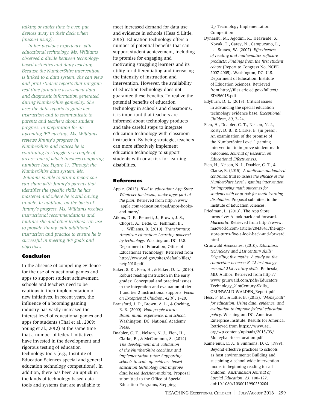*talking or tablet time is over, put devices away in their dock when finished using).*

*In her previous experience with educational technology, Ms. Williams observed a divide between technologybased activities and daily teaching. Because the NumberShire intervention is linked to a data system, she can view and print student reports that integrate real-time formative assessment data and diagnostic information generated during NumberShire gameplay. She uses the data reports to guide her instruction and to communicate to parents and teachers about student progress. In preparation for an upcoming IEP meeting, Ms. Williams reviews Jimmy's progress in NumberShire and notices he is continuing to struggle in a couple of areas—one of which involves comparing numbers (see Figure 1). Through the NumberShire data system, Ms. Williams is able to print a report she can share with Jimmy's parents that identifies the specific skills he has mastered and where he is still having trouble. In addition, on the basis of Jimmy's progress, Ms. Williams receives instructional recommendations and routines she and other teachers can use to provide Jimmy with additional instruction and practice to ensure he is successful in meeting IEP goals and objectives.*

#### **Conclusion**

In the absence of compelling evidence for the use of educational games and apps to support student achievement, schools and teachers need to be cautious in their implementation of new initiatives. In recent years, the influence of a booming gaming industry has vastly increased the interest level of educational games and apps for students (Thai et al., 2009; Young et al., 2012) at the same time that a number of federal initiatives have invested in the development and rigorous testing of education technology tools (e.g., Institute of Education Sciences special and general education technology competitions). In addition, there has been an uptick in the kinds of technology-based data tools and systems that are available to

meet increased demand for data use and evidence in schools (Hess & Little, 2015). Education technology offers a number of potential benefits that can support student achievement, including its promise for engaging and motivating struggling learners and its utility for differentiating and increasing the intensity of instruction and intervention. However, the availability of education technology does not guarantee these benefits. To realize the potential benefits of education technology in schools and classrooms, it is important that teachers are informed about technology products and take careful steps to integrate education technology with classroom instruction. By being strategic, teachers can more effectively implement education technology to support students with or at risk for learning disabilities.

#### **References**

- Apple. (2015). *iPad in education: App Store. Whatever the lesson, make apps part of the plan*. Retrieved from http://www [.apple.com/education/ipad/apps-books](http://www.apple.com/education/ipad/apps-booksand-more/)and-more/
- Atkins, D. E., Bennett, J., Brown, J. S., Chopra, A., Dede, C., Fishman, B., . . . Williams, B. (2010). *Transforming American education: Learning powered by technology*. Washington, DC: U.S. Department of Education, Office of Educational Technology. Retrieved from [http://www.ed.gov/sites/default/files/](http://www.ed.gov/sites/default/files/netp2010.pdf) netp2010.pdf
- Baker, S. K., Fien, H., & Baker, D. L. (2010). Robust reading instruction in the early grades: Conceptual and practical issues in the integration and evaluation of tier 1 and tier 2 instructional supports. *Focus on Exceptional Children*, *42*(9), 1–20.
- Bransford, J. D., Brown, A. L., & Cocking, R. R. (2000). *How people learn: Brain, mind, experience, and school*. Washington, DC: National Academy Press.
- Doabler, C. T., Nelson, N. J., Fien, H., Clarke, B., & McCammon, S. (2014). *The development and validation of the NumberShire coaching and implementation tutor: Supporting schools to scale up evidence based education technology and improve data based decision-making*. Proposal submitted to the Office of Special Education Programs, Stepping

Up Technology Implementation Competition.

- Dynarski, M., Agodini, R., Heaviside, S., Novak, T., Carey, N., Campuzano, L., . . . Sussex, W. (2007). *Effectiveness of reading and mathematics software products: Findings from the first student cohort* (Report to Congress No. NCEE 2007-4005). Washington, DC: U.S. Department of Education, Institute of Education Sciences. Retrieved [from http://files.eric.ed.gov/fulltext/](http://files.eric.ed.gov/fulltext/ED496015.pdf) ED496015.pdf
- Edyburn, D. L. (2013). Critical issues in advancing the special education technology evidence base. *Exceptional Children*, *80*, 7–24.
- Fien, H., Doabler, C. T., Nelson, N. J., Kosty, D. B., & Clarke, B. (in press). An examination of the promise of the NumberShire Level 1 gaming intervention to improve student math outcomes. *Journal of Research on Educational Effectiveness*.
- Fien, H., Nelson, N. J., Doabler, C. T., & Clarke, B. (2015). *A multi-site randomized controlled trial to assess the efficacy of the NumberShire Level 1 gaming intervention for improving math outcomes for students with or at risk for math learning disabilities*. Proposal submitted to the Institute of Education Sciences.
- Friedman, L. (2013). The App Store turns five: A look back and forward. *Macworld*. Retrieved from http://www. macworld.com/article/2043841/the-app[store-turns-five-a-look-back-and-forward.](http://www.macworld.com/article/2043841/the-appstore-turns-five-a-look-back-and-forward.html) html
- Grunwald Associates. (2010). *Educators, technology and 21st century skills: Dispelling five myths. A study on the connection between K–12 technology use and 21st century skills*. Bethesda, MD: Author. Retrieved from http:// [www.grunwald.com/pdfs/Educators\\_](http://www.grunwald.com/pdfs/Educators_Technology_21stCentury-Skills_GRUNWALD-WALDEN_Report.pdf) Technology\_21stCentury-Skills\_ GRUNWALD-WALDEN\_Report.pdf
- Hess, F. M., & Little, B. (2015). *"Moneyball" for education: Using data, evidence, and evaluation to improve federal education policy*. Washington, DC: American Enterprise Institute, Results for America. Retrieved from https://www.aei. [org/wp-content/uploads/2015/03/](https://www.aei.org/wp-content/uploads/2015/03/Moneyball-for-education.pdf) Moneyball-for-education.pdf
- Kame'enui, E. J., & Simmons, D. C. (1999). Beyond effective practices to schools as host environments: Building and sustaining a school-wide intervention model in beginning reading for all children. *Australasian Journal of Special Education*, *23*, 100–127. doi:10.1080/1030011990230204